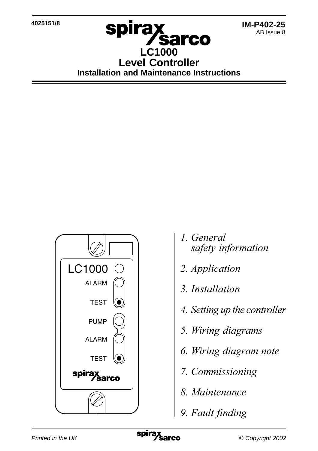**4025151/8**

## spira**x Sarco LC1000 Level Controller Installation and Maintenance Instructions**



- 1. General safety information
- 2. *Application*
- 3. Installation
- 4. Setting up the controller
- 5. Wiring diagrams
- 6. Wiring diagram note
- 7. Commissioning
- 8. Maintenance
- 9. Fault finding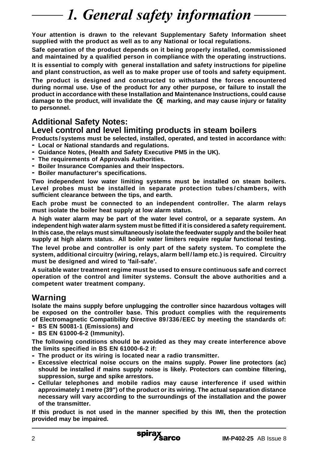## 1. General safety information

**Your attention is drawn to the relevant Supplementary Safety Information sheet supplied with the product as well as to any National or local regulations.**

**Safe operation of the product depends on it being properly installed, commissioned and maintained by a qualified person in compliance with the operating instructions. It is essential to comply with general installation and safety instructions for pipeline and plant construction, as well as to make proper use of tools and safety equipment.**

**The product is designed and constructed to withstand the forces encountered during normal use. Use of the product for any other purpose, or failure to install the product in accordance with these Installation and Maintenance Instructions, could cause damage to the product, will invalidate the marking, and may cause injury or fatality to personnel.**

## **Additional Safety Notes:**

### **Level control and level limiting products in steam boilers**

**Products /systems must be selected, installed, operated, and tested in accordance with: - Local or National standards and regulations.**

- **- Guidance Notes, (Health and Safety Executive PM5 in the UK).**
- **- The requirements of Approvals Authorities.**
- **- Boiler Insurance Companies and their Inspectors.**
- **- Boiler manufacturer's specifications.**

**Two independent low water limiting systems must be installed on steam boilers. Level probes must be installed in separate protection tubes/chambers, with sufficient clearance between the tips, and earth.**

**Each probe must be connected to an independent controller. The alarm relays must isolate the boiler heat supply at low alarm status.**

**A high water alarm may be part of the water level control, or a separate system. An independent high water alarm system must be fitted if it is considered a safety requirement. In this case, the relays must simultaneously isolate the feedwater supply and the boiler heat supply at high alarm status. All boiler water limiters require regular functional testing.**

**The level probe and controller is only part of the safety system. To complete the system, additional circuitry (wiring, relays, alarm bell/lamp etc.) is required. Circuitry must be designed and wired to 'fail-safe'.**

**A suitable water treatment regime must be used to ensure continuous safe and correct operation of the control and limiter systems. Consult the above authorities and a competent water treatment company.**

### **Warning**

**Isolate the mains supply before unplugging the controller since hazardous voltages will be exposed on the controller base. This product complies with the requirements of Electromagnetic Compatibility Directive 89/336/EEC by meeting the standards of:**

- **- BS EN 50081-1 (Emissions) and**
- **- BS EN 61000-6-2 (Immunity).**

**The following conditions should be avoided as they may create interference above the limits specified in BS EN 61000-6-2 if:**

- **- The product or its wiring is located near a radio transmitter.**
- **- Excessive electrical noise occurs on the mains supply. Power line protectors (ac) should be installed if mains supply noise is likely. Protectors can combine filtering, suppression, surge and spike arrestors.**
- **- Cellular telephones and mobile radios may cause interference if used within approximately 1 metre (39") of the product or its wiring. The actual separation distance necessary will vary according to the surroundings of the installation and the power of the transmitter.**

**If this product is not used in the manner specified by this IMI, then the protection provided may be impaired.**

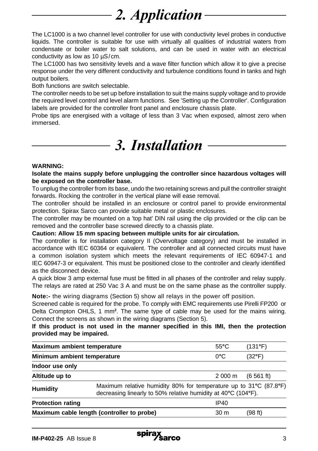# 2. *Application*

The LC1000 is a two channel level controller for use with conductivity level probes in conductive liquids. The controller is suitable for use with virtually all qualities of industrial waters from condensate or boiler water to salt solutions, and can be used in water with an electrical conductivity as low as 10 µS/cm.

The LC1000 has two sensitivity levels and a wave filter function which allow it to give a precise response under the very different conductivity and turbulence conditions found in tanks and high output boilers.

Both functions are switch selectable.

The controller needs to be set up before installation to suit the mains supply voltage and to provide the required level control and level alarm functions. See 'Setting up the Controller'. Configuration labels are provided for the controller front panel and enclosure chassis plate.

Probe tips are energised with a voltage of less than 3 Vac when exposed, almost zero when immersed.

## 3. Installation

#### **WARNING:**

**Isolate the mains supply before unplugging the controller since hazardous voltages will be exposed on the controller base.**

To unplug the controller from its base, undo the two retaining screws and pull the controller straight forwards. Rocking the controller in the vertical plane will ease removal.

The controller should be installed in an enclosure or control panel to provide environmental protection. Spirax Sarco can provide suitable metal or plastic enclosures.

The controller may be mounted on a 'top hat' DIN rail using the clip provided or the clip can be removed and the controller base screwed directly to a chassis plate.

#### **Caution: Allow 15 mm spacing between multiple units for air circulation.**

The controller is for installation category II (Overvoltage category) and must be installed in accordance with IEC 60364 or equivalent. The controller and all connected circuits must have a common isolation system which meets the relevant requirements of IEC 60947-1 and IEC 60947-3 or equivalent. This must be positioned close to the controller and clearly identified as the disconnect device.

A quick blow 3 amp external fuse must be fitted in all phases of the controller and relay supply. The relays are rated at 250 Vac 3 A and must be on the same phase as the controller supply.

**Note:-** the wiring diagrams (Section 5) show all relays in the power off position.

Screened cable is required for the probe. To comply with EMC requirements use Pirelli FP200 or Delta Crompton OHLS, 1 mm**<sup>2</sup>** . The same type of cable may be used for the mains wiring. Connect the screens as shown in the wiring diagrams (Section 5).

**If this product is not used in the manner specified in this IMI, then the protection provided may be impaired.**

| Maximum ambient temperature<br>Minimum ambient temperature |                                                                                                                                    | $55^{\circ}$ C | (131°F)         |  |  |
|------------------------------------------------------------|------------------------------------------------------------------------------------------------------------------------------------|----------------|-----------------|--|--|
|                                                            |                                                                                                                                    | $0^{\circ}$ C  | $(32^{\circ}F)$ |  |  |
| Indoor use only                                            |                                                                                                                                    |                |                 |  |  |
| Altitude up to                                             |                                                                                                                                    | 2 000 m        | (6561 ft)       |  |  |
| <b>Humidity</b>                                            | Maximum relative humidity 80% for temperature up to 31°C (87.8°F)<br>decreasing linearly to 50% relative humidity at 40°C (104°F). |                |                 |  |  |
| <b>Protection rating</b>                                   |                                                                                                                                    | IP40           |                 |  |  |
| Maximum cable length (controller to probe)<br>30 m         |                                                                                                                                    | (98 ft)        |                 |  |  |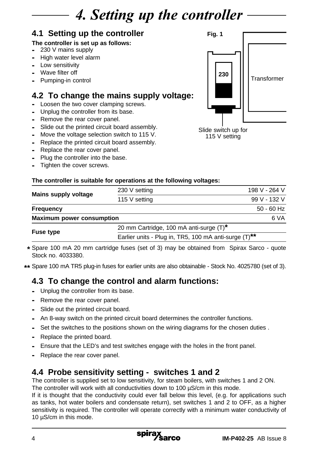## 4. Setting up the controller

## **4.1 Setting up the controller**

### **The controller is set up as follows:**

- **-** 230 V mains supply
- **-** High water level alarm
- **-** Low sensitivity
- **-** Wave filter off
- **-** Pumping-in control

## **4.2 To change the mains supply voltage:**

- **-** Loosen the two cover clamping screws.
- **-** Unplug the controller from its base.
- **-** Remove the rear cover panel.
- **-** Slide out the printed circuit board assembly.
- **-** Move the voltage selection switch to 115 V.
- **-** Replace the printed circuit board assembly.
- **-** Replace the rear cover panel.
- **-** Plug the controller into the base.
- **-** Tighten the cover screws.

### **The controller is suitable for operations at the following voltages:**

| Mains supply voltage             | 230 V setting                                         |      | 198 V - 264 V |
|----------------------------------|-------------------------------------------------------|------|---------------|
|                                  | 115 V setting                                         |      | 99 V - 132 V  |
| Frequency                        |                                                       |      | $50 - 60$ Hz  |
| <b>Maximum power consumption</b> |                                                       | 6 VA |               |
|                                  | 20 mm Cartridge, 100 mA anti-surge (T)*               |      |               |
| <b>Fuse type</b>                 | Earlier units - Plug in, TR5, 100 mA anti-surge (T)** |      |               |

Spare 100 mA 20 mm cartridge fuses (set of 3) may be obtained from Spirax Sarco - quote **\*** Stock no. 4033380.

Spare 100 mA TR5 plug-in fuses for earlier units are also obtainable - Stock No. 4025780 (set of 3). **\*\***

## **4.3 To change the control and alarm functions:**

- **-** Unplug the controller from its base.
- **-** Remove the rear cover panel.
- **-** Slide out the printed circuit board.
- **-** An 8-way switch on the printed circuit board determines the controller functions.
- **-** Set the switches to the positions shown on the wiring diagrams for the chosen duties .
- **-** Replace the printed board.
- **-** Ensure that the LED's and test switches engage with the holes in the front panel.
- **-** Replace the rear cover panel.

### **4.4 Probe sensitivity setting - switches 1 and 2**

The controller is supplied set to low sensitivity, for steam boilers, with switches 1 and 2 ON. The controller will work with all conductivities down to 100 µS/cm in this mode.

If it is thought that the conductivity could ever fall below this level, (e.g. for applications such as tanks, hot water boilers and condensate return), set switches 1 and 2 to OFF, as a higher sensitivity is required. The controller will operate correctly with a minimum water conductivity of 10 µS/cm in this mode.



115 V setting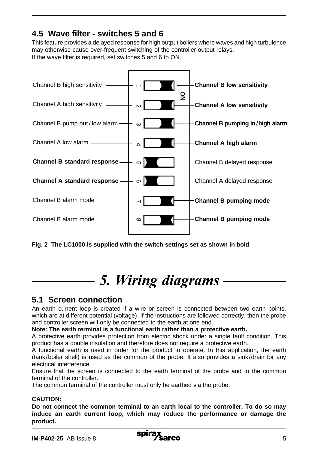## **4.5 Wave filter - switches 5 and 6**

This feature provides a delayed response for high output boilers where waves and high turbulence may otherwise cause over-frequent switching of the controller output relays. If the wave filter is required, set switches 5 and 6 to ON.



**Fig. 2 The LC1000 is supplied with the switch settings set as shown in bold**

## 5. Wiring diagrams

### **5.1 Screen connection**

An earth current loop is created if a wire or screen is connected between two earth points, which are at different potential (voltage). If the instructions are followed correctly, then the probe and controller screen will only be connected to the earth at one end.

#### **Note: The earth terminal is a functional earth rather than a protective earth.**

A protective earth provides protection from electric shock under a single fault condition. This product has a double insulation and therefore does not require a protective earth.

A functional earth is used in order for the product to operate. In this application, the earth (tank/boiler shell) is used as the common of the probe. It also provides a sink/drain for any electrical interference.

Ensure that the screen is connected to the earth terminal of the probe and to the common terminal of the controller.

The common terminal of the controller must only be earthed via the probe.

#### **CAUTION:**

**Do not connect the common terminal to an earth local to the controller. To do so may induce an earth current loop, which may reduce the performance or damage the product.**

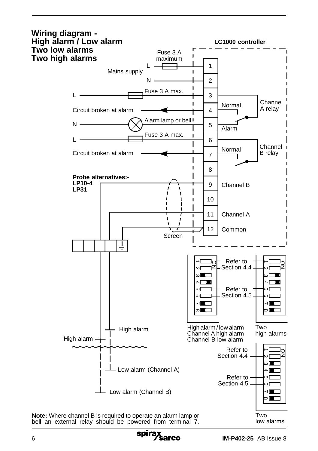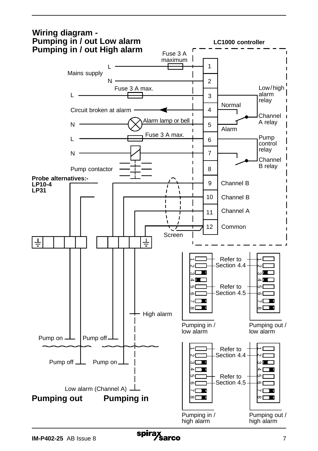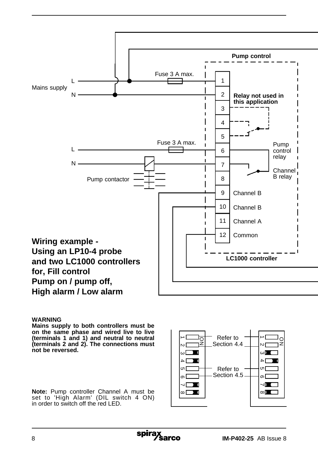

#### **WARNING**

**Mains supply to both controllers must be on the same phase and wired live to live (terminals 1 and 1) and neutral to neutral (terminals 2 and 2). The connections must not be reversed.**

**Note:** Pump controller Channel A must be set to 'High Alarm' (DIL switch 4 ON) in order to switch off the red LED.

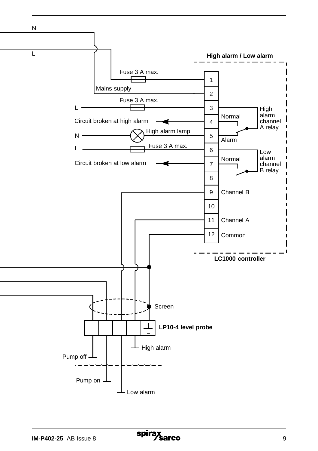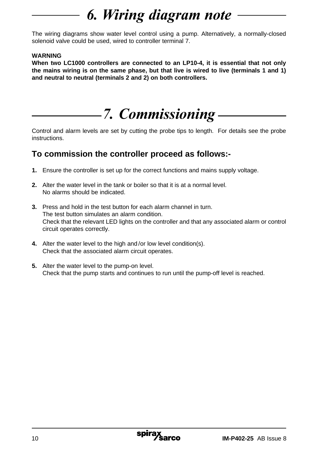# 6. Wiring diagram note

The wiring diagrams show water level control using a pump. Alternatively, a normally-closed solenoid valve could be used, wired to controller terminal 7.

### **WARNING**

**When two LC1000 controllers are connected to an LP10-4, it is essential that not only the mains wiring is on the same phase, but that live is wired to live (terminals 1 and 1) and neutral to neutral (terminals 2 and 2) on both controllers.**

## 7. Commissioning

Control and alarm levels are set by cutting the probe tips to length. For details see the probe instructions.

### **To commission the controller proceed as follows:-**

- **1.** Ensure the controller is set up for the correct functions and mains supply voltage.
- **2.** Alter the water level in the tank or boiler so that it is at a normal level. No alarms should be indicated.
- **3.** Press and hold in the test button for each alarm channel in turn. The test button simulates an alarm condition. Check that the relevant LED lights on the controller and that any associated alarm or control circuit operates correctly.
- **4.** Alter the water level to the high and /or low level condition(s). Check that the associated alarm circuit operates.
- **5.** Alter the water level to the pump-on level. Check that the pump starts and continues to run until the pump-off level is reached.

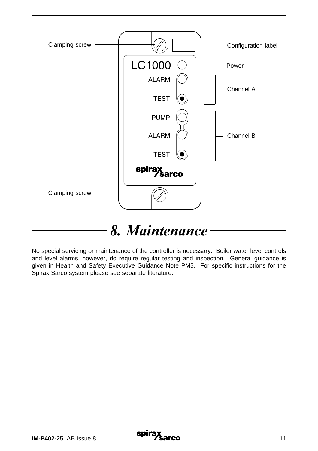

## 8. Maintenance

No special servicing or maintenance of the controller is necessary. Boiler water level controls and level alarms, however, do require regular testing and inspection. General guidance is given in Health and Safety Executive Guidance Note PM5. For specific instructions for the Spirax Sarco system please see separate literature.